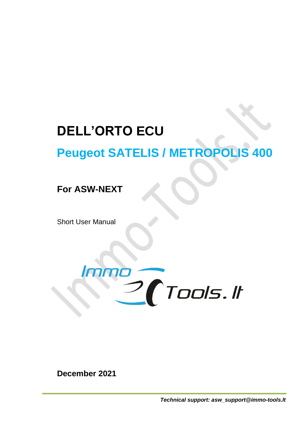## **DELL'ORTO ECU**

# **Peugeot SATELIS / METROPOLIS 400**

### **For ASW-NEXT**

Short User Manual



**December 2021**

*Technical support: asw\_support@immo-tools.lt*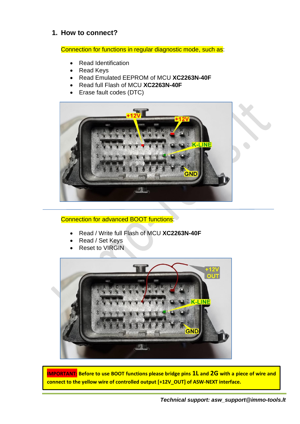#### **1. How to connect?**

Connection for functions in regular diagnostic mode, such as:

- Read Identification
- Read Keys
- Read Emulated EEPROM of MCU **XC2263N-40F**
- Read full Flash of MCU **XC2263N-40F**
- Erase fault codes (DTC)



#### Connection for advanced BOOT functions:

- Read / Write full Flash of MCU **XC2263N-40F**
- Read / Set Keys
- Reset to VIRGIN



**IMPORTANT: Before to use BOOT functions please bridge pins 1L and 2G with a piece of wire and connect to the yellow wire of controlled output [+12V\_OUT] of ASW-NEXT interface.**